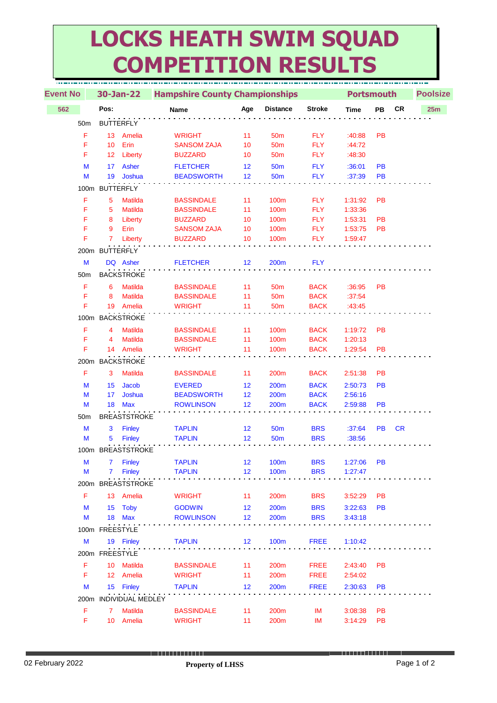## **LOCKS HEATH SWIM SQUAD COMPETITION RESULTS**

|     | <b>Event No</b> |                 | 30-Jan-22                        |  | <b>Hampshire County Championships</b>  |          |                 |                            | <b>Portsmouth</b>  | <b>Poolsize</b> |           |     |  |
|-----|-----------------|-----------------|----------------------------------|--|----------------------------------------|----------|-----------------|----------------------------|--------------------|-----------------|-----------|-----|--|
| 562 |                 | Pos:            |                                  |  | Name                                   | Age      | <b>Distance</b> | <b>Stroke</b>              | <b>Time</b>        | PB              | <b>CR</b> | 25m |  |
|     | 50 <sub>m</sub> |                 | <b>BUTTERFLY</b>                 |  |                                        |          |                 |                            |                    |                 |           |     |  |
|     | F               | 13 <sup>°</sup> | Amelia                           |  | <b>WRIGHT</b>                          | 11       | 50 <sub>m</sub> | <b>FLY</b>                 | :40:88             | PB              |           |     |  |
|     | F               | 10              | Erin                             |  | <b>SANSOM ZAJA</b>                     | 10       | 50 <sub>m</sub> | <b>FLY</b>                 | :44:72             |                 |           |     |  |
|     | F               | 12 <sup>°</sup> | Liberty                          |  | <b>BUZZARD</b>                         | 10       | 50 <sub>m</sub> | <b>FLY</b>                 | :48:30             |                 |           |     |  |
|     | M               | 17              | Asher                            |  | <b>FLETCHER</b>                        | 12       | 50 <sub>m</sub> | <b>FLY</b>                 | :36:01             | <b>PB</b>       |           |     |  |
|     | M               | 19              | Joshua                           |  | <b>BEADSWORTH</b>                      | 12       | 50 <sub>m</sub> | <b>FLY</b>                 | :37:39             | PB              |           |     |  |
|     |                 | 100m BUTTERFLY  |                                  |  |                                        |          |                 |                            |                    |                 |           |     |  |
|     | F               |                 |                                  |  |                                        |          |                 |                            |                    |                 |           |     |  |
|     | F               | 5<br>5          | <b>Matilda</b><br><b>Matilda</b> |  | <b>BASSINDALE</b><br><b>BASSINDALE</b> | 11<br>11 | 100m<br>100m    | <b>FLY</b><br><b>FLY</b>   | 1:31:92<br>1:33:36 | <b>PB</b>       |           |     |  |
|     | F               | 8               | Liberty                          |  | <b>BUZZARD</b>                         | 10       | 100m            | <b>FLY</b>                 | 1:53:31            | PB              |           |     |  |
|     | F               | 9               | Erin                             |  | <b>SANSOM ZAJA</b>                     | 10       | 100m            | <b>FLY</b>                 | 1:53:75            | <b>PB</b>       |           |     |  |
|     | F               | $7^{\circ}$     | Liberty                          |  | <b>BUZZARD</b>                         | 10       | 100m            | <b>FLY</b>                 | 1:59:47            |                 |           |     |  |
|     |                 | 200m BUTTERFLY  |                                  |  |                                        |          |                 |                            |                    |                 |           |     |  |
|     |                 |                 |                                  |  |                                        |          |                 |                            |                    |                 |           |     |  |
|     | M               |                 | DQ Asher                         |  | <b>FLETCHER</b>                        | 12       | 200m            | <b>FLY</b>                 |                    |                 |           |     |  |
|     | 50 <sub>m</sub> |                 | <b>BACKSTROKE</b>                |  |                                        |          |                 |                            |                    |                 |           |     |  |
|     | F               | 6               | <b>Matilda</b>                   |  | <b>BASSINDALE</b>                      | 11       | 50 <sub>m</sub> | <b>BACK</b>                | :36:95             | <b>PB</b>       |           |     |  |
|     | F               | 8               | <b>Matilda</b>                   |  | <b>BASSINDALE</b>                      | 11       | 50 <sub>m</sub> | <b>BACK</b>                | :37:54             |                 |           |     |  |
|     | F               |                 | 19 Amelia                        |  | <b>WRIGHT</b>                          | 11       | 50 <sub>m</sub> | <b>BACK</b>                | :43:45             |                 |           |     |  |
|     |                 |                 | 100m BACKSTROKE                  |  |                                        |          |                 |                            |                    |                 |           |     |  |
|     | F               | 4               | <b>Matilda</b>                   |  | <b>BASSINDALE</b>                      | 11       | 100m            | <b>BACK</b>                | 1:19:72            | <b>PB</b>       |           |     |  |
|     | F               | 4               | <b>Matilda</b>                   |  | <b>BASSINDALE</b>                      | 11       | 100m            | <b>BACK</b>                | 1:20:13            |                 |           |     |  |
|     | F               |                 | 14 Amelia                        |  | <b>WRIGHT</b>                          | 11       | 100m            | <b>BACK</b>                | 1:29:54            | <b>PB</b>       |           |     |  |
|     | 200m            |                 | <b>BACKSTROKE</b>                |  |                                        |          |                 |                            |                    |                 |           |     |  |
|     | F               | 3               | <b>Matilda</b>                   |  | <b>BASSINDALE</b>                      | 11       | 200m            | <b>BACK</b>                | 2:51:38            | PB              |           |     |  |
|     |                 |                 |                                  |  |                                        |          |                 |                            |                    |                 |           |     |  |
|     | M<br>M          | 15<br>17        | <b>Jacob</b><br>Joshua           |  | <b>EVERED</b><br><b>BEADSWORTH</b>     | 12<br>12 | 200m            | <b>BACK</b><br><b>BACK</b> | 2:50:73<br>2:56:16 | <b>PB</b>       |           |     |  |
|     | M               |                 | 18 Max                           |  | <b>ROWLINSON</b>                       | 12       | 200m<br>200m    | <b>BACK</b>                | 2:59:88            | PB              |           |     |  |
|     |                 |                 |                                  |  |                                        |          |                 |                            |                    |                 |           |     |  |
|     | 50 <sub>m</sub> |                 | <b>BREASTSTROKE</b>              |  |                                        |          |                 |                            |                    |                 |           |     |  |
|     | M               | 3               | <b>Finley</b>                    |  | <b>TAPLIN</b>                          | 12       | <b>50m</b>      | <b>BRS</b>                 | :37:64             | PB              | <b>CR</b> |     |  |
|     | M               | 5               | <b>Finley</b>                    |  | <b>TAPLIN</b>                          | 12       | <b>50m</b>      | <b>BRS</b>                 | :38:56             |                 |           |     |  |
|     |                 |                 | 100m BREASTSTROKE                |  |                                        |          |                 |                            |                    |                 |           |     |  |
|     | M               | 7               | <b>Finley</b>                    |  | <b>TAPLIN</b>                          | 12       | <b>100m</b>     | <b>BRS</b>                 | 1:27:06            | <b>PB</b>       |           |     |  |
|     | M               | 7               | <b>Finley</b>                    |  | <b>TAPLIN</b>                          | 12       | 100m            | <b>BRS</b>                 | 1:27:47            |                 |           |     |  |
|     | 200m            |                 | <b>BREASTSTROKE</b>              |  |                                        |          |                 |                            |                    |                 |           |     |  |
|     | F               |                 | 13 Amelia                        |  | <b>WRIGHT</b>                          | 11       | 200m            | <b>BRS</b>                 | 3:52:29            | <b>PB</b>       |           |     |  |
|     | M               | 15              | Toby                             |  | <b>GODWIN</b>                          | 12       | 200m            | <b>BRS</b>                 | 3:22:63            | <b>PB</b>       |           |     |  |
|     | M               |                 | 18 Max                           |  | <b>ROWLINSON</b>                       | 12       | 200m            | <b>BRS</b>                 | 3:43:18            |                 |           |     |  |
|     |                 | 100m FREESTYLE  |                                  |  |                                        |          |                 |                            |                    |                 |           |     |  |
|     |                 |                 |                                  |  |                                        |          | <b>100m</b>     |                            |                    |                 |           |     |  |
|     | M               |                 | 19 Finley                        |  | <b>TAPLIN</b>                          | 12       |                 | <b>FREE</b>                | 1:10:42            |                 |           |     |  |
|     |                 | 200m FREESTYLE  |                                  |  |                                        |          |                 |                            |                    |                 |           |     |  |
|     | F               |                 | 10 Matilda                       |  | <b>BASSINDALE</b>                      | 11       | 200m            | <b>FREE</b>                | 2:43:40            | <b>PB</b>       |           |     |  |
|     | F               |                 | 12 Amelia                        |  | <b>WRIGHT</b>                          | 11       | 200m            | <b>FREE</b>                | 2:54:02            |                 |           |     |  |
|     | M               |                 | 15 Finley                        |  | <b>TAPLIN</b>                          | 12       | 200m            | <b>FREE</b>                | 2:30:63            | <b>PB</b>       |           |     |  |
|     | 200m            |                 | <b>INDIVIDUAL MEDLEY</b>         |  |                                        |          |                 |                            |                    |                 |           |     |  |
|     | F               | $\mathbf{7}$    | <b>Matilda</b>                   |  | <b>BASSINDALE</b>                      | 11       | 200m            | IM                         | 3:08:38            | PB              |           |     |  |
|     | F               |                 | 10 Amelia                        |  | <b>WRIGHT</b>                          | 11       | 200m            | IM                         | 3:14:29            | PB              |           |     |  |